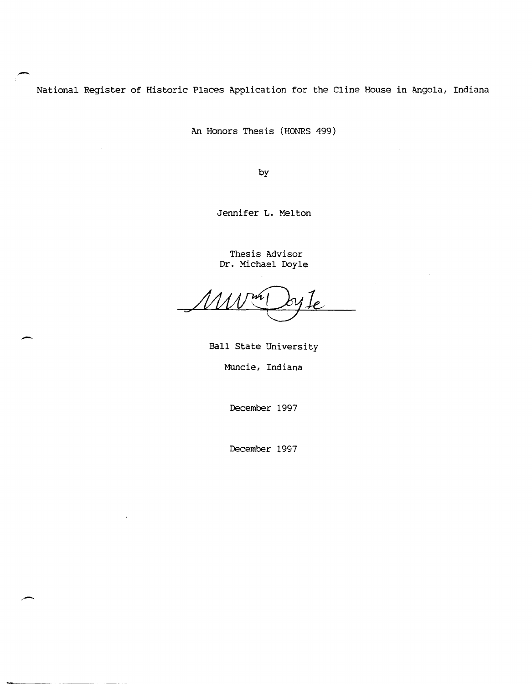National Register of Historic Places Application for the Cline House in Angola, Indiana

An Honors Thesis (HONRS 499)

by

Jennifer L. Melton

Thesis Advisor Dr. Michael Doyle

Ball State University

Muncie, Indiana

December 1997

December 1997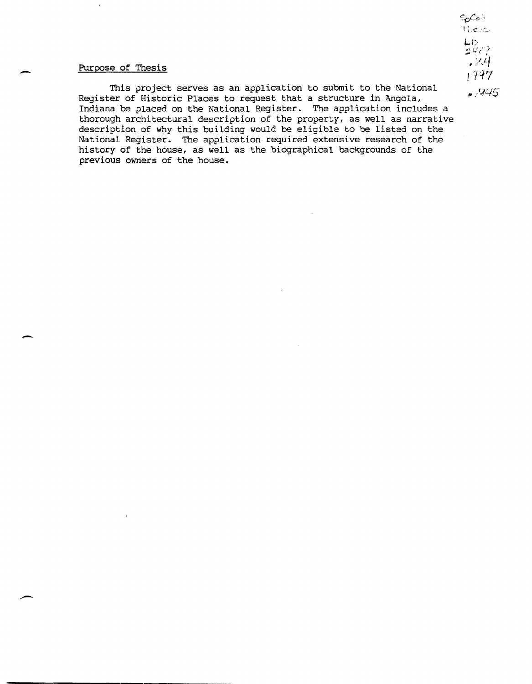#### Purpose of Thesis

-

-

 $\overline{\phantom{a}}$ 

This project serves as an application to submit to the National  $\frac{1}{4}(4/5)$ Register of Historic Places to request that a structure in Angola, Indiana be placed on the National Register. The application includes a thorough architectural description of the property, as well as narrative description of why this building would be eligible to be listed on the National Register. The application required extensive research of the history of the house, as well as the biographical backgrounds of the previous owners of the house.

 $\mathsf{S}_\mathsf{D}$ Co (1  $1!$ ,eur  $LD$  $542?$  $\mathscr{L}^q$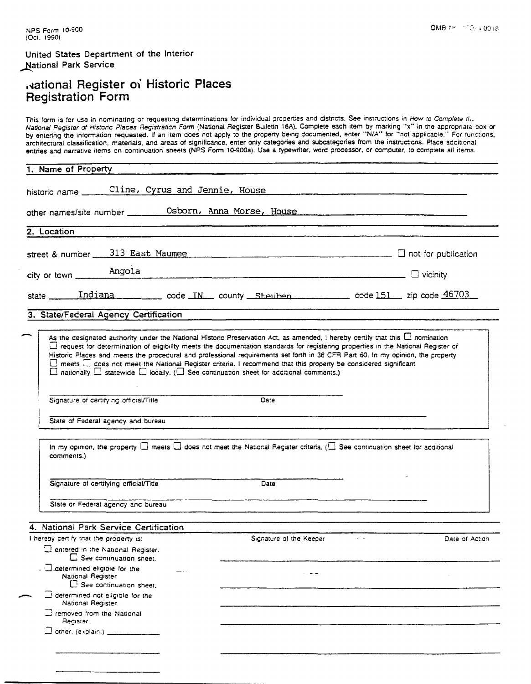United States Department of the Interior National Park Service

## ivational Register of Historic Places<br>Registration Form

This form is for use in nominating or requesting determinations for individual properties and districts. See instructions in How to Complete the National Pegister of Historic Places Registration Form (National Register Buildtin 16A). Complete each item by marking "x" in the appropriate box or<br>by entering the information requested. If an item does not apply to the p architectural classification, materials, and areas of significance, enter only categories and subcategories from the instructions. Place additional entries and narrative items on continuation sheets (NPS Form 10-900a). Use a typewriter, word processor, or computer, to complete all items.

| Cline, Cyrus and Jennie, House<br>historic name ______<br>other names/site number _________ Osborn, Anna Morse, House<br>2. Location<br>street & number $\frac{313 \text{ East Maume}}{2}$ Maumee<br>city or town <b>Angola</b><br>state <u>Indiana code</u> N <sub>n</sub> county Steuben code 151 zip code 46703<br>3. State/Federal Agency Certification<br>As the designated authority under the National Historic Preservation Act, as amended, I hereby certify that this $\Box$ nomination      |                |
|--------------------------------------------------------------------------------------------------------------------------------------------------------------------------------------------------------------------------------------------------------------------------------------------------------------------------------------------------------------------------------------------------------------------------------------------------------------------------------------------------------|----------------|
|                                                                                                                                                                                                                                                                                                                                                                                                                                                                                                        |                |
|                                                                                                                                                                                                                                                                                                                                                                                                                                                                                                        |                |
|                                                                                                                                                                                                                                                                                                                                                                                                                                                                                                        |                |
|                                                                                                                                                                                                                                                                                                                                                                                                                                                                                                        |                |
|                                                                                                                                                                                                                                                                                                                                                                                                                                                                                                        |                |
|                                                                                                                                                                                                                                                                                                                                                                                                                                                                                                        |                |
|                                                                                                                                                                                                                                                                                                                                                                                                                                                                                                        |                |
| request for determination of eligibility meets the documentation standards for registering properties in the National Register of<br>Historic Places and meets the procedural and professional requirements set forth in 36 CFR Part 60. In my opinion, the property<br>meets a does not meet the National Register criteria. I recommend that this property be considered significant<br>$\Box$ nationally $\Box$ statewide $\Box$ locally. ( $\Box$ See continuation sheet for additional comments.) |                |
| Date<br>Signature of certifying official/Title                                                                                                                                                                                                                                                                                                                                                                                                                                                         |                |
| State of Federal agency and bureau                                                                                                                                                                                                                                                                                                                                                                                                                                                                     |                |
| In my opinion, the property $\Box$ meets $\Box$ does not meet the National Register criteria, ( $\Box$ See continuation sheet for additional<br>comments.)                                                                                                                                                                                                                                                                                                                                             |                |
| Signature of certifying official/Title<br><b>Date</b>                                                                                                                                                                                                                                                                                                                                                                                                                                                  |                |
| State or Federal agency and bureau                                                                                                                                                                                                                                                                                                                                                                                                                                                                     |                |
| 4. National Park Service Certification                                                                                                                                                                                                                                                                                                                                                                                                                                                                 |                |
| I hereby certify that the property is:<br>$\sim$ $ \sim$<br>Signature of the Keeper<br>antered in the National Register.                                                                                                                                                                                                                                                                                                                                                                               | Date of Action |
| See continuation sheet.<br><b>I</b> determined eligible for the<br>National Register<br>$\Box$ See continuation sheet.                                                                                                                                                                                                                                                                                                                                                                                 |                |
| determined not eligible for the<br>National Register.                                                                                                                                                                                                                                                                                                                                                                                                                                                  |                |
| $\Box$ removed from the National<br>Register.                                                                                                                                                                                                                                                                                                                                                                                                                                                          |                |
|                                                                                                                                                                                                                                                                                                                                                                                                                                                                                                        |                |
|                                                                                                                                                                                                                                                                                                                                                                                                                                                                                                        |                |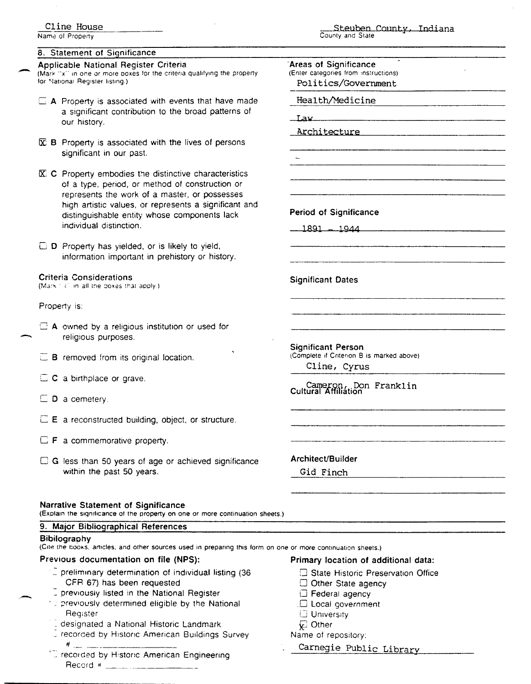Name of Property

#### 8. Statement of Significance

#### Applicable National Register Criteria

(Mark "x" in one or more poxes for the criteria qualifying the property for National Register listing.)

- $\Box$  A Property is associated with events that have made a significant contribution to the broad patterns of our history.
- $\mathbb{\overline{X}}$  **B** Property is associated with the lives of persons significant in our past.
- X: C Property embodies the distinctive characteristics of a type, period, or method of construction or represents the work of a master, or possesses high artistic values, or represents a significant and distinguishable entity whose components lack individual distinction.

D Property has yielded, or is likely to yield, information important in prehistory or history.

#### **Criteria Considerations**

(Mark 1 kill in all the boxes that apply.)

#### Property is:

- $\Box$  A owned by a religious institution or used for religious purposes.
- $\Box$  B removed from its original location.
- $\Box$  C a birthplace or grave.
- $\square$  D a cemetery.
- $\Box$  **E** a reconstructed building, object, or structure.
- $\Box$  **F** a commemorative property.
- □ G less than 50 years of age or achieved significance within the past 50 years.

#### **Narrative Statement of Significance**

(Explain the significance of the property on one or more continuation sheets.)

#### 9. Major Bibliographical References

#### Bibilography

(Cite the books, articles, and other sources used in preparing this form on one or more continuation sheets.)

#### Previous documentation on file (NPS):

- 2 preliminary determination of individual listing (36 CFR 67) has been requested
- previously listed in the National Register
- a previously determined eligible by the National Register
- designated a National Historic Landmark
- Frecorded by Historic American Buildings Survey #.
- Crecorded by Historic American Engineering

#### Steuben County, Indiana County and State

|            | Areas of Significance                         |  |  |  |
|------------|-----------------------------------------------|--|--|--|
|            | (Enter categories from instructions)          |  |  |  |
|            | Politics/Government                           |  |  |  |
|            |                                               |  |  |  |
|            | Health/Medicine                               |  |  |  |
| <u>Iaw</u> |                                               |  |  |  |
|            |                                               |  |  |  |
|            | Architecture                                  |  |  |  |
|            |                                               |  |  |  |
|            |                                               |  |  |  |
|            |                                               |  |  |  |
|            |                                               |  |  |  |
|            |                                               |  |  |  |
|            |                                               |  |  |  |
|            |                                               |  |  |  |
|            |                                               |  |  |  |
|            | <b>Period of Significance</b>                 |  |  |  |
|            |                                               |  |  |  |
|            | <u> 1891 - 1944</u>                           |  |  |  |
|            |                                               |  |  |  |
|            |                                               |  |  |  |
|            |                                               |  |  |  |
|            |                                               |  |  |  |
|            | <b>Significant Dates</b>                      |  |  |  |
|            |                                               |  |  |  |
|            |                                               |  |  |  |
|            |                                               |  |  |  |
|            |                                               |  |  |  |
|            |                                               |  |  |  |
|            | <b>Significant Person</b>                     |  |  |  |
|            | (Complete if Criterion B is marked above)     |  |  |  |
|            |                                               |  |  |  |
|            | Cline, Cyrus                                  |  |  |  |
|            | Cameron, Don Franklin<br>Cultural Affiliation |  |  |  |

Architect/Builder Gid Finch

#### Primary location of additional data:

- State Historic Preservation Office
- Other State agency
- □ Federal agency
- $\Box$  Local government
- **University**
- Other

#### Name of repository:

Carnegie Public Library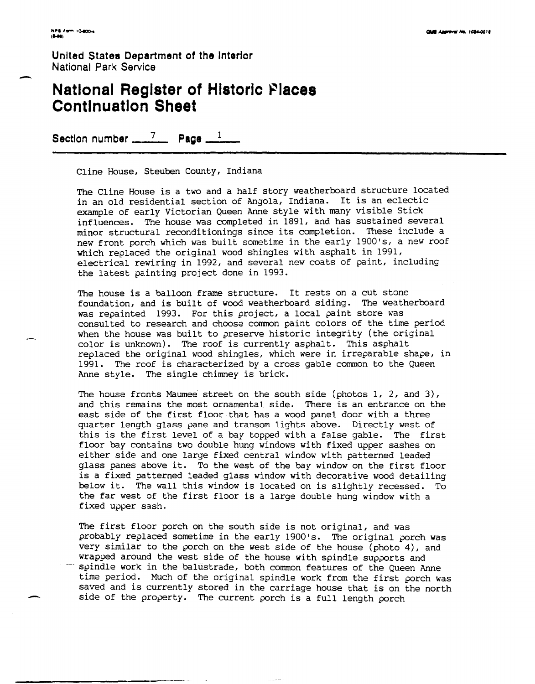United States Department of the Interior<br>
National Park Service<br> **National Register of Historic Places National Park Service** 

# **Continuation Sheet**

Section number \_\_\_\_<sup>7</sup> Page \_\_<sup>1</sup>

Cline House, Steuben County, Indiana

The Cline House is a two and a half story weatherboard structure located in an old residential section of Angola, Indiana. It is an eclectic example of early Victorian Queen Anne style with many visible Stick influences. The house was completed in 1891, and has sustained several minor structural reconditionings since its completion. These include a new front porch which was built sometime in the early 1900's, a new roof which replaced the original wood shingles with asphalt in 1991, electrical rewiring in 1992, and several new coats of paint, including the latest painting project done in 1993.

The house is a balloon frame structure. It rests on a cut stone foundation, and is built of wood weatherboard siding. The weatherboard was repainted 1993. For this project, a local paint store was consulted to research and choose common paint colors of the time period when the house was built to preserve historic integrity (the original color is unknown). The roof is currently asphalt. This asphalt replaced the original wood shingles, which were in irreparable shape, in 1991. The roof is characterized by a cross gable common to the Queen Anne style. The single chimney is brick.

The house fronts Maumee street on the south side (photos  $1, 2,$  and  $3$ ), and this remains the most ornamental side. There is an entrance on the east side of the first floor that has a wood panel door with a three quarter length glass pane and transom lights above. Directly west of this is the first level of a bay topped with a false gable. The first floor bay contains two double hung windows with fixed upper sashes on either side and one large fixed central window with patterned leaded glass panes above it. To the west of the bay window on the first floor is a fixed patterned leaded glass window with decorative wood detailing below it. The wall this window is located on is slightly recessed. To the far west of the first floor is a large double hung window with a fixed upper sash.

The first floor porch on the south side is not original, and was probably replaced sometime in the early 1900's. The original porch was very similar to the porch on the west side of the house (photo 4), and wrapped around the west side of the house with spindle supports and ----- spindle work in the balustrade, both common features of the Queen Anne time period. Much of the original spindle work from the first porch was saved and is currently stored in the carriage house that is on the north side of the property. The current porch is a full length porch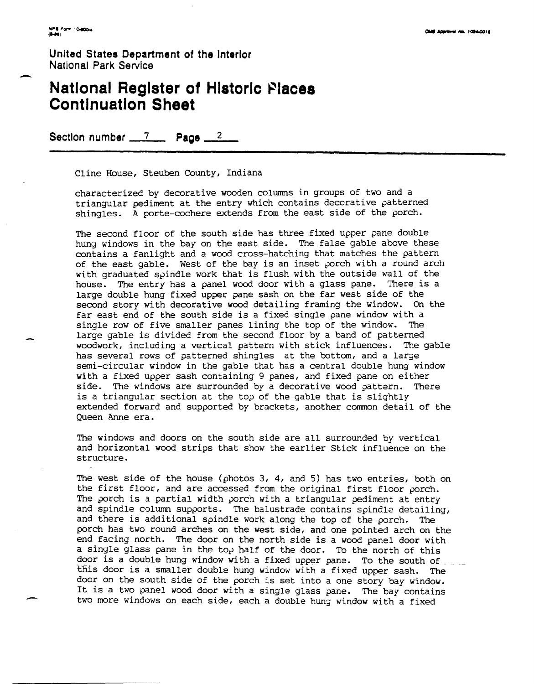United States Department of the Interior<br>
National Park Service<br> **National Register of Histori National Park Service** 

### **National Register 01 Historic** ~lace8 **Continuation Sheet**

Section number \_\_\_\_\_\_\_\_\_ Page \_\_\_\_\_\_\_\_

Cline House, Steuben County, Indiana

characterized by decorative wooden columns in groups of two and a triangular pediment at the entry which contains decorative patterned shingles. A porte-cochere extends from the east side of the porch.

The second floor of the south side has three fixed upper pane double hung windows in the bay on the east side. The false gable above these contains a fanlight and a wood cross-hatching that matches the pattern of the east gable. West of the bay is an inset porch with a round arch with graduated spindle work that is flush with the outside wall of the house. The entry has a panel wood door with a glass pane. There is a large double hung fixed upper pane sash on the far west side of the second story with decorative wood detailing framing the window. On the far east end of the south side is a fixed single pane window with a single row of five smaller panes lining the top of the window. The large gable is divided from the second floor by a band of patterned woodwork, including a vertical pattern with stick influences. The gable has several rows of patterned shingles at the bottom, and a large semi-circular window in the gable that has a central double hung window with a fixed upper sash containing 9 panes, and fixed pane on either side. The windows are surrounded by a decorative wood pattern. There is a triangular section at the top of the gable that is slightly extended forward and supported by brackets, another common detail of the Queen Anne era.

The windows and doors on the south side are all surrounded by vertical and horizontal wood strips that show the earlier Stick influence on the structure.

The west side of the house (photos 3, 4, and 5) has two entries, both on the first floor, and are accessed from the original first floor porch. The porch is a partial width porch with a triangular pediment at entry and spindle column supports. The balustrade contains spindle detailing, and there is additional spindle work along the top of the porch. The porch has two round arches on the west side, and one pointed arch on the end facing north. The door on the north side is a wood panel door with a single glass pane in the top half of the door. To the north of this door is a double hung window with a fixed upper pane. To the south of ... door on the south side of the porch is set into a one story bay window. It is a two panel wood door with a single glass pane. The bay contains two more windows on each side, each a double hung window with a fixed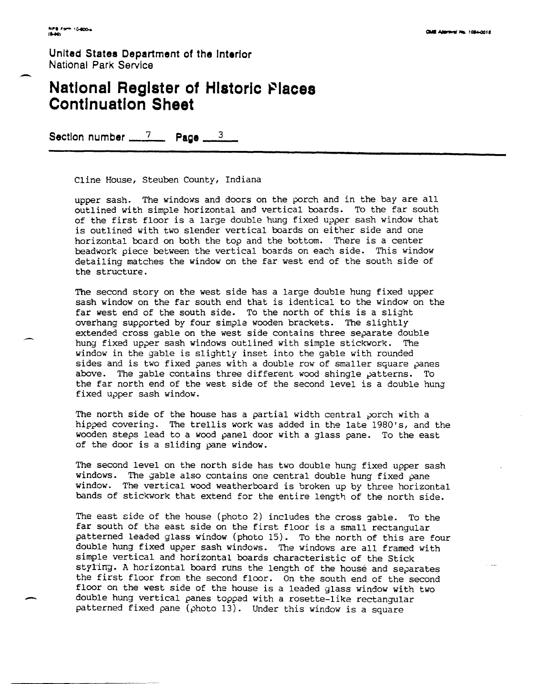**United States Department of the Interior National Park Service** 

## **National Register of Historic Places Continuation Sheet**

Section number  $\frac{7}{2}$  Page  $\frac{3}{2}$ 

Cline House, Steuben County, Indiana

upper sash. The windows and doors on the porch and in the bay are all outlined with simple horizontal and vertical boards. To the far south of the first floor is a large double hung fixed *upper* sash window that is outlined with two slender vertical boards on either side and one horizontal beard on both the top and the bottom. There is a center beadwork piece between the vertical boards on each side. This window detailing matches the window on the far west end of the south side of the structure.

The second story on the west side has a large double hung fixed upper sash window on the far south end that is identical to the window on the far west end of the south side. To the north of this is a slight overhang supported by four simple wooden brackets. The slightly extended cross gable on the west side contains three separate double hung fixed upper sash windows outlined with simple stickwork. The window in the gable is slightly inset into the gable with rounded sides and is two fixed panes with a double row of smaller square panes above. The gable contains three different wood shingle patterns. To the far north end of the west side of the second level is a double hung fixed upper sash window.

The north side of the house has a partial width central porch with a hipped covering. The trellis work was added in the late 1980's, and the wooden steps lead to a wood panel door with a glass pane. To the east of the door is a sliding pane window.

The second level on the north side has two double hung fixed *upper* sash windows. The gable also contains one central double hung fixed pane window. The vertical wood weatherboard is broken up by three horizontal bands of stickwork that extend for the entire length of the north side.

The east side of the house (photo 2) includes the cross gable. To the far south of the east side on the first floor is a small rectangular patterned leaded glass window (photo 15). To the north of this are four double hung fixed upper sash windows. The windows are all framed with simple vertical and horizontal boards characteristic of the Stick stYLing. A horizontal board rUns the length of the house and separates the first floor from the second floor. On the south end of the second floor on the west side of the house is a leaded glass window with two double hung vertical panes topped with a rosette-like rectangular patterned fixed *pane* (photo 13). Under this window is a square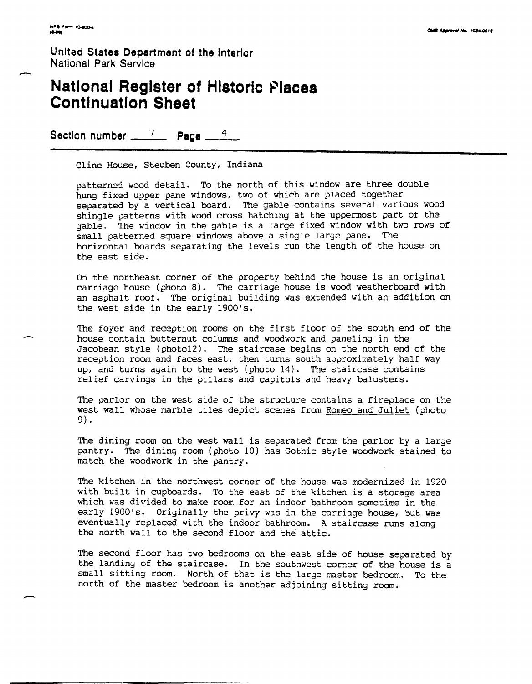-

**United States Department of the Interior National Park Service** 

## **National Register of Historic Places Continuation Sheet**

Section number \_\_\_\_\_<sup>7</sup> Page \_

Cline House, Steuben County, Indiana

patterned wood detail. To the north of this window are three double hung fixed upper pane windows, two of which are placed together separated by a vertical board. The gable contains several various wood shingle patterns with *wood* cross hatching at the uppermost *part* of the gable. The window in the gable is a large fixed window with two *rows* of small patterned square windows above a single large pane. The horizontal boards separating the levels run the length of the house on the east side.

On the northeast corner of the property behind the house is an original carriage house (photo 8). The carriage house is wood weatherboard with an asphalt roof. The original building was extended with an addition on the west side in the early 1900's.

The foyer and reception rooms on the first floor of the south end of the house contain butternut colUmns and woodwork and paneling in the Jacobean style (photoI2). The staircase begins on the north end of the reception room and faces east, then turns south approximately half *way*  up, and turns again to the west (photo 14). The staircase contains relief carvings in the pillars and capitols and heavy balusters.

The parlor on the *west* side of the structure contains a fireplace on the west wall whose marble tiles depict scenes from Romeo and Juliet (photo 9).

The dining room on the west wall is separated from the parlor by a large pantry. The dining room (photo 10) has Gothic style woodwork stained to match the woodwork in the pantry.

The kitchen in the northwest corner of the house was modernized in 1920 with built-in cupboards. To the east of the kitchen is a storage area which *was* divided to make room for an indoor bathroom sometime in the early 1900's. Originally the privy was in the carriage house, but *was*  eventually replaced with the indoor bathroom. A staircase runs along the north wall to the second floor and the attic.

The second floor has two bedrooms on the east side of house separated by the landiny of the staircase. In the southwest corner of tha house is a small sitting room. North of that is the large master bedroom. To the north of the master bedroom is another adjoining sitting room.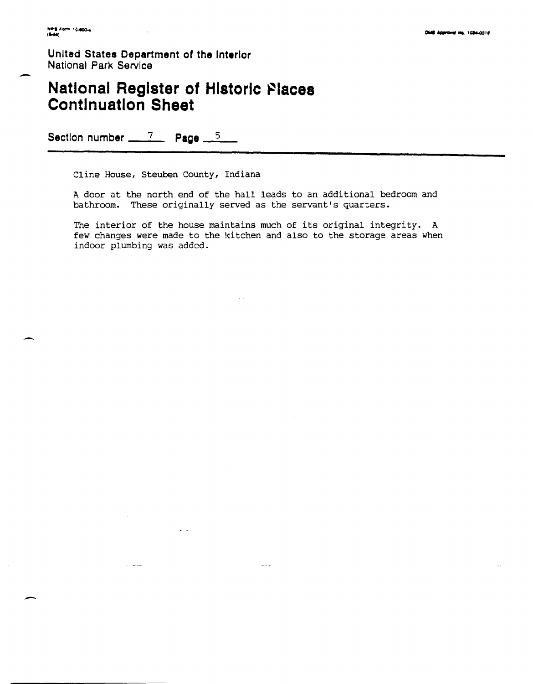**United States Department of the Interior National Park Service** 

### **National Register of Historic Places Continuation Sheet**

**Section number \_\_ 7\_ Page \_5 \_\_** 

 $\sim$  100  $-$  100  $-$ 

Cline House, Steuben County, Indiana

A door at the north end of the hall leads to an additional bedroom and bathroom. These originally served as the servant's quarters.

The interior of the house maintains much of its original integrity. A few changes were made to the kitchen and also to the storage areas when indoor plumbing was added.

 $\sim$   $-$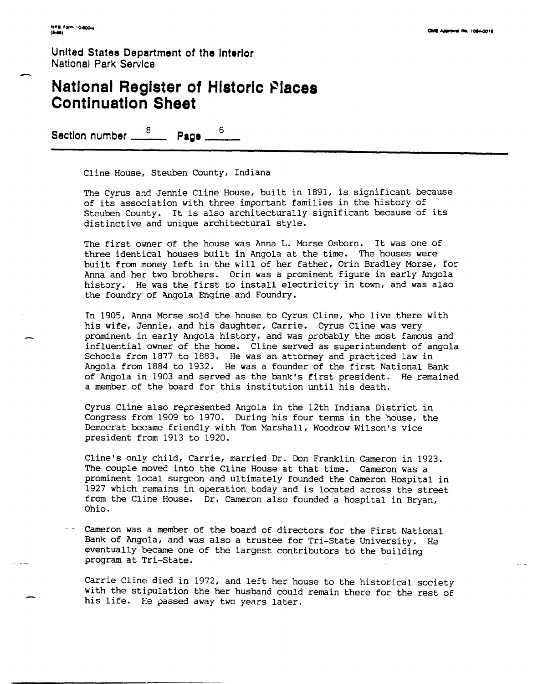United States Department of the Interior<br>
National Park Service<br> **National Register of Historic Places National Park Service** 

## **Continuation Sheet**

**Section number \_\_\_ 8 Page** \_\_ 6

Cline House, Steuben County, Indiana

The Cyrus and Jennie Cline House, built in 1891, is significant because of its association with three important families in the history of Steuben County. It is also architecturally significant because of its distinctive and unique architectural style.

The first owner of the house was Anna L. Morse Osborn. It was one of three identical houses built in Angola at the time. The houses were built from money left in the will of her father, Orin Bradley Morse, for Anna and her two brothers. Orin was a prominent figure in early Angola history. He was the first to install electricity in town, and was also the foundry of Angola Engine and Foundry.

In 1905, Anna Morse sold the house to Cyrus Cline, who live there with his wife, Jennie, and his daughter, Carrie. Cyrus Cline was very prominent in early Angola history, and was probably the most famous and influential owner of the home. Cline served as superintendent of angola Schools from 1877 to 1883. He was an attorney and practiced law in Angola from 1884 to 1932. He was a founder of the first National Bank of Angola in 1903 and served as the bank's first president. He remained a member of the board for this institution until his death.

Cyrus Cline also represented Angola in the 12th Indiana District in Congress from 1909 to 1970. During his four terms in the house, the Democrat became friendly with Tom Marshall, Woodrow Wilson's vice president from 1913 to 1920.

Cline's only child, Carrie, married Dr. Don Franklin Cameron in 1923. The couple moved into the Cline House at that time. Cameron was a prominent local surgeon and ultimately founded the Cameron Hospital in 1927 which remains in operation today and is located across the street from the Cline House. Dr. Cameron also founded a hospital in Bryan, Ohio.

Cameron was a member of the board of directors for the First National Bank of Angola, and was also a trustee for Tri-State University. He eventually became one of the largest contributors to the building program at Tri-State.

Carrie Cline died in 1972, and left her house to the historical society with the stipulation the her husband could remain there for the rest of his life. He passed away two years later.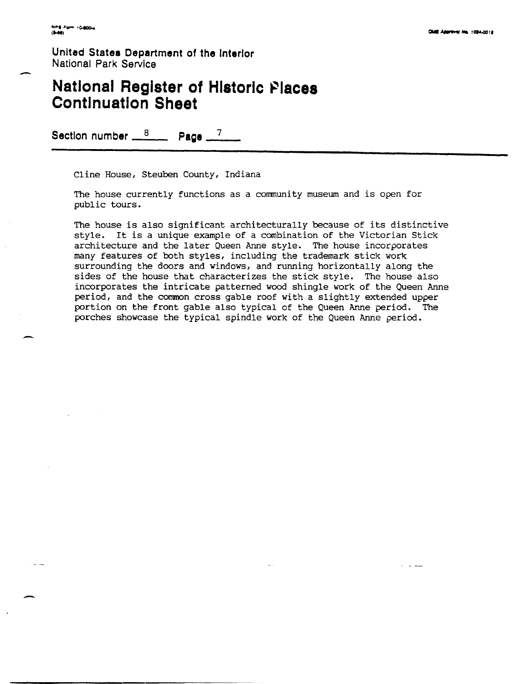. -

-

United States Department of the Interior National Park Service

## **National Register of Historic Places Continuation Sheet**

Section number  $\frac{8}{2}$  **Page**  $\frac{7}{2}$ 

Cline House, Steuben County, Indiana

The house currently functions as a community museum and is open for public tours.

The house is also significant architecturally because of its distinctive style. It is a unique example of a combination of the Victorian Stick architecture and the later Queen Anne style. The house incorporates many features of both styles, including the trademark stick work surrounding the doors and windows, and running horizontally along the sides of the house that characterizes the stick style. The house also incorporates the intricate patterned wood shingle work of the Queen Anne period, and the common cross gable roof with a slightly extended upper portion on the front gable also typical of the Queen Anne period. The porches showcase the typical spindle work of the Queen Anne period •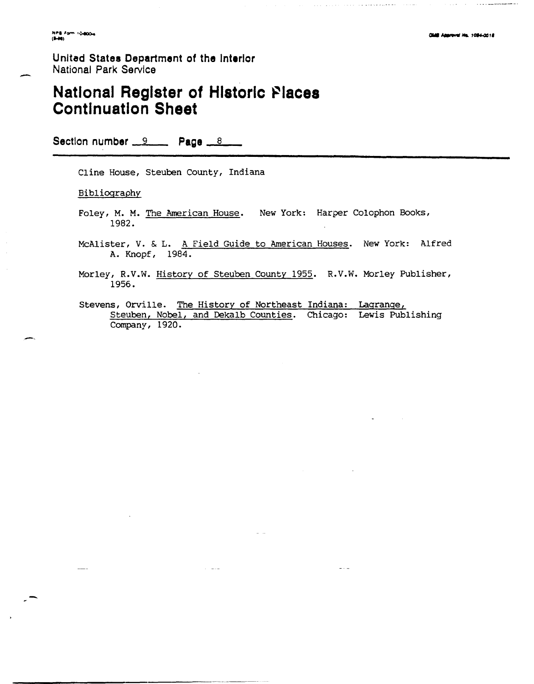-

#### **United States Department of the Interior** National **Park Service**

## **National Register of Historic Places Continuation Sheet**

Section number  $-9$  **Page**  $-8$ 

Cline House, Steuben County, Indiana

Bibliography

- Foley, M. M. The American House. New York: Harper Colophon Books, 1982.
- McAlister, V. & L. A Field Guide to American Houses. New York: Alfred A. Knopf, 1984.
- Morley, R.V.W. History of Steuben County 1955. R.V.W. Morley Publisher, 1956.
- Stevens, Orville. The History of Northeast Indiana: Lagrange, Steuben, Nobel, and Dekalb Counties. Chicago: Lewis Publishing Company, 1920.